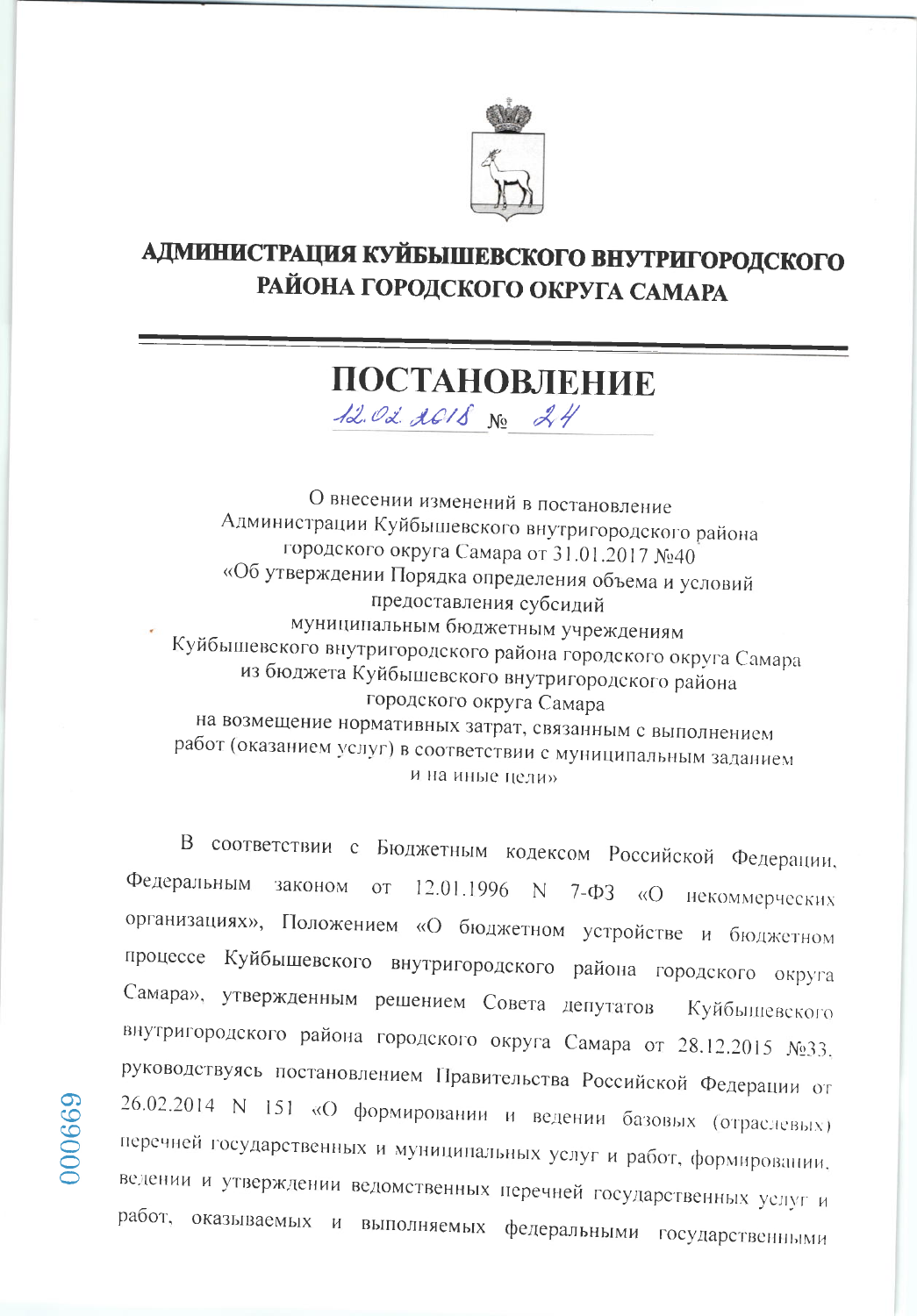

## АДМИНИСТРАЦИЯ КУЙБЫШЕВСКОГО ВНУТРИГОРОДСКОГО РАЙОНА ГОРОДСКОГО ОКРУГА САМАРА

## ПОСТАНОВЛЕНИЕ

12.02.2018 No 24

О внесении изменений в постановление Администрации Куйбышевского внутригородского района городского округа Самара от 31.01.2017 №40 «Об утверждении Порядка определения объема и условий предоставления субсидий муниципальным бюджетным учреждениям Куйбышевского внутригородского района городского округа Самара из бюджета Куйбышевского внутригородского района городского округа Самара на возмещение нормативных затрат, связанным с выполнением работ (оказанием услуг) в соответствии с муниципальным заданием и на иные цели»

В соответствии с Бюджетным кодексом Российской Федерации, Федеральным законом or 12.01.1996 N 7-ФЗ «О некоммерческих организациях», Положением «О бюджетном устройстве и бюджетном процессе Куйбышевского внутригородского района городского округа Самара», утвержденным решением Совета депутатов Куйбышевского внутригородского района городского округа Самара от 28.12.2015 №33, руководствуясь постановлением Правительства Российской Федерации от 26.02.2014 N 151 «О формировании и ведении базовых (отраслевых) перечней государственных и муниципальных услуг и работ, формировании, ведении и утверждении ведомственных перечней государственных услуг и работ, оказываемых и выполняемых федеральными государственными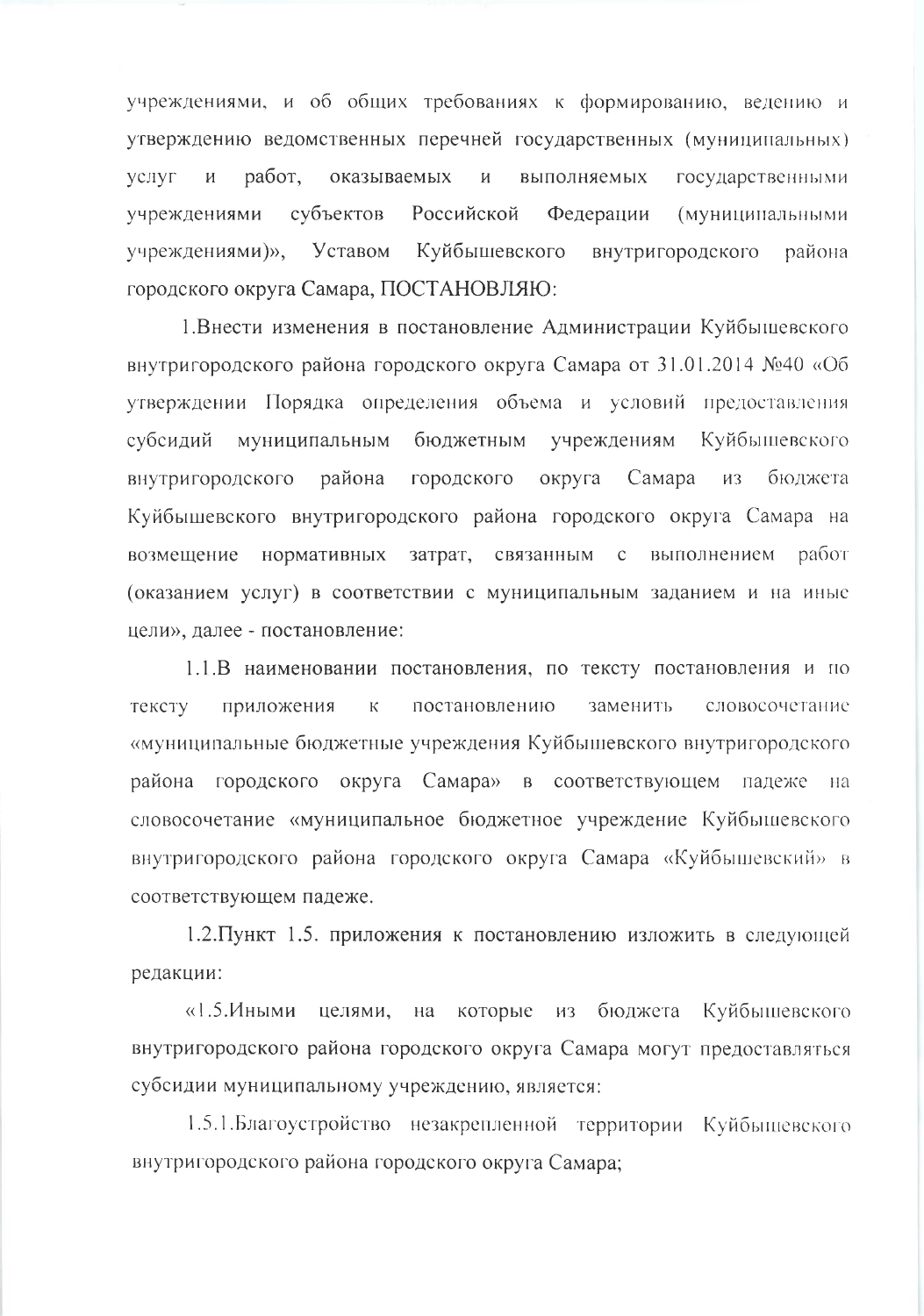учреждениями, и об общих требованиях к формированию, ведению и утверждению ведомственных перечней государственных (муниципальных) работ, оказываемых И выполняемых услуг  $\boldsymbol{M}$ государственными Российской учреждениями субъектов Федерации (муниципальными учреждениями)», Уставом Куйбышевского внутригородского района. городского округа Самара, ПОСТАНОВЛЯЮ:

1. Внести изменения в постановление Администрации Куйбышевского внутригородского района городского округа Самара от 31.01.2014 №40 «Об утверждении Порядка определения объема и условий предоставления муниципальным бюджетным учреждениям Куйбышевского субсидий городского внутригородского района округа Самара бюджета **ИЗ** Куйбышевского внутригородского района городского округа Самара на возмещение нормативных затрат, связанным с выполнением работ (оказанием услуг) в соответствии с муниципальным заданием и на иные цели», далее - постановление:

1.1.В наименовании постановления, по тексту постановления и по заменить тексту  $\overline{\mathsf{K}}$ постановлению словосочетание приложения «муниципальные бюджетные учреждения Куйбышевского внутригородского района городского округа Самара» в соответствующем падеже на словосочетание «муниципальное бюджетное учреждение Куйбышевского внутригородского района городского округа Самара «Куйбышевский» в соответствующем падеже.

1.2. Пункт 1.5. приложения к постановлению изложить в следующей редакции:

«1.5.Иными целями, на которые из бюджета Куйбышевского внутригородского района городского округа Самара могут предоставляться субсидии муниципальному учреждению, является:

1.5.1. Благоустройство незакрепленной территории Куйбышевского внутригородского района городского округа Самара;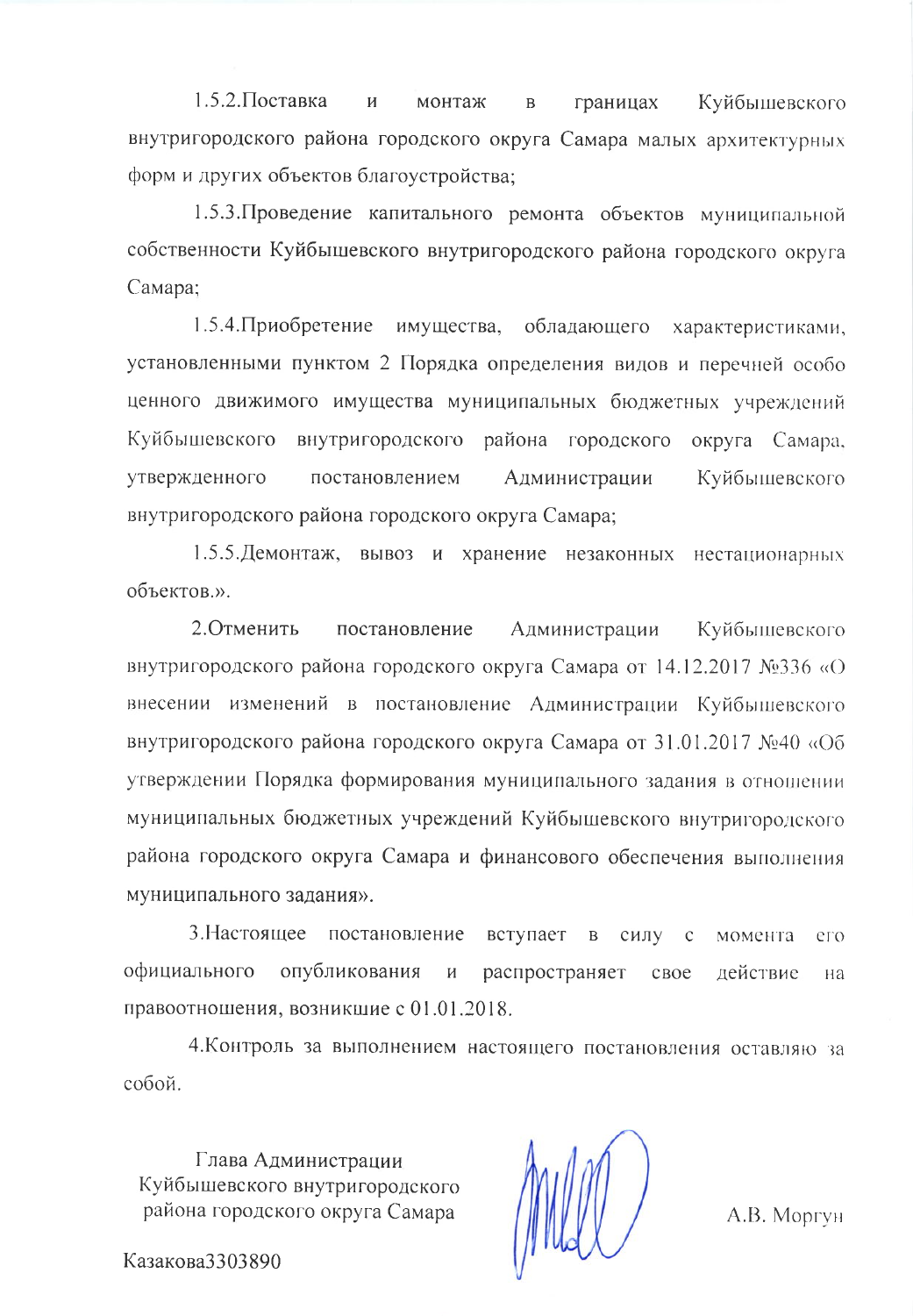$1.5.2$ . Поставка  $\overline{M}$ монтаж границах Куйбышевского  $\overline{B}$ внутригородского района городского округа Самара малых архитектурных форм и других объектов благоустройства:

1.5.3. Проведение капитального ремонта объектов муниципальной собственности Куйбышевского внутригородского района городского округа Самара:

 $1.5.4.$ Приобретение имущества, обладающего характеристиками, установленными пунктом 2 Порядка определения видов и перечней особо ценного движимого имущества муниципальных бюджетных учреждений Куйбышевского внутригородского района городского округа Самара, утвержденного постановлением Куйбышевского Администрации внутригородского района городского округа Самара;

1.5.5. Демонтаж, вывоз и хранение незаконных нестационарных объектов.».

2. Отменить постановление Администрации Куйбышевского внутригородского района городского округа Самара от 14.12.2017 №336 «О внесении изменений в постановление Администрации Куйбышевского внутригородского района городского округа Самара от 31.01.2017 №40 «Об утверждении Порядка формирования муниципального задания в отношении муниципальных бюджетных учреждений Куйбышевского внутригородского района городского округа Самара и финансового обеспечения выполнения муниципального задания».

3. Настоящее постановление вступает в силу с момента его официального опубликования распространяет И  $\csc$ действие на правоотношения, возникшие с 01.01.2018.

4. Контроль за выполнением настоящего постановления оставляю за собой.

Глава Администрации Куйбышевского внутригородского района городского округа Самара

A.B. Mopryh

Казакова3303890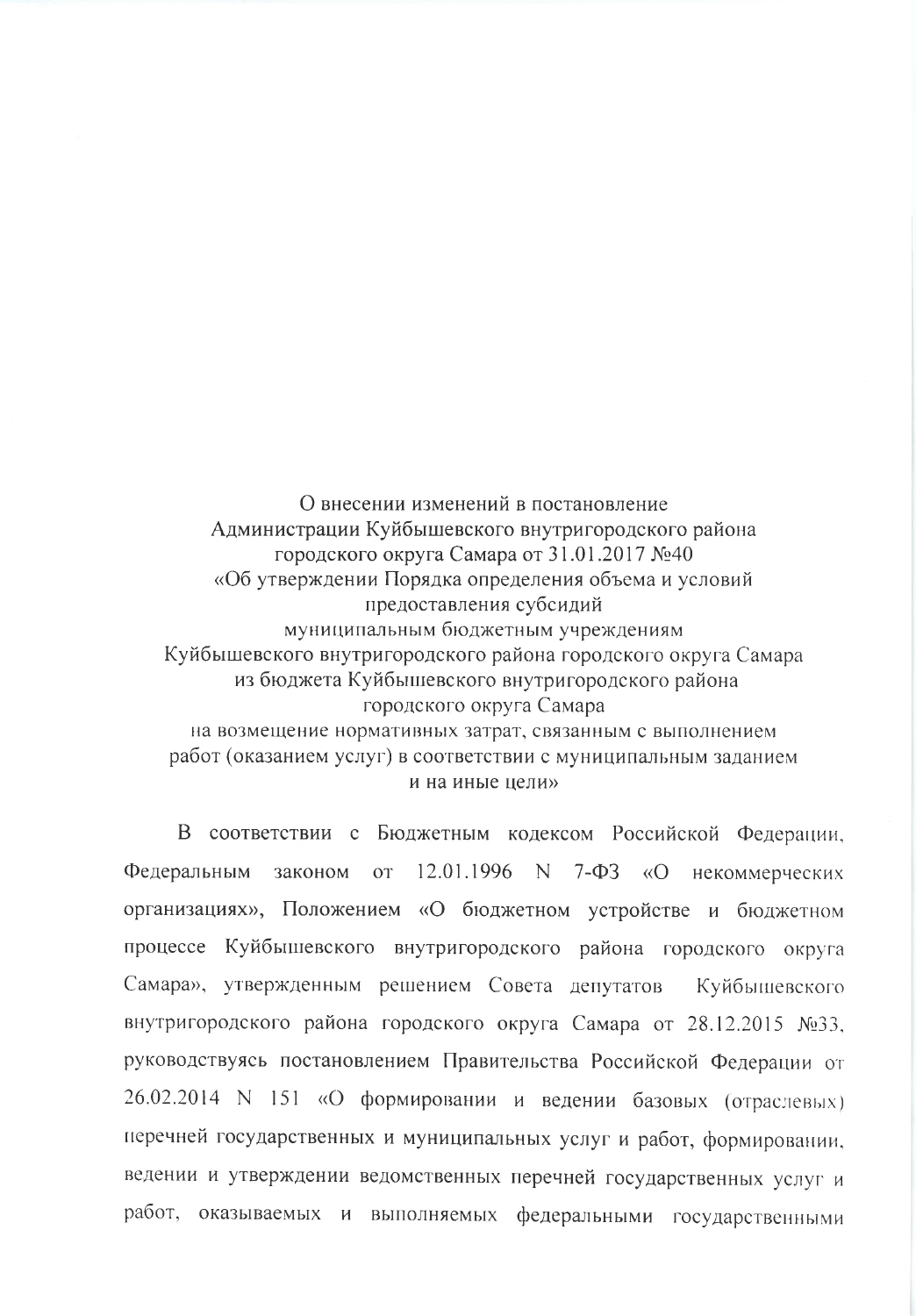О внесении изменений в постановление Администрации Куйбышевского внутригородского района городского округа Самара от 31.01.2017 №40 «Об утверждении Порядка определения объема и условий предоставления субсидий муниципальным бюджетным учреждениям Куйбышевского внутригородского района городского округа Самара из бюджета Куйбышевского внутригородского района городского округа Самара на возмещение нормативных затрат, связанным с выполнением работ (оказанием услуг) в соответствии с муниципальным заданием и на иные цели»

В соответствии с Бюджетным кодексом Российской Федерации, Федеральным законом  $OT$ 12.01.1996 N \  $7 - \Phi$ 3 «O некоммерческих организациях», Положением «О бюджетном устройстве и бюджетном процессе Куйбышевского внутригородского района городского округа Самара», утвержденным решением Совета депутатов Куйбышевского внутригородского района городского округа Самара от 28.12.2015 №33, руководствуясь постановлением Правительства Российской Федерации от 26.02.2014 N 151 «О формировании и ведении базовых (отраслевых) перечней государственных и муниципальных услуг и работ, формировании, ведении и утверждении ведомственных перечней государственных услуг и работ, оказываемых и выполняемых федеральными государственными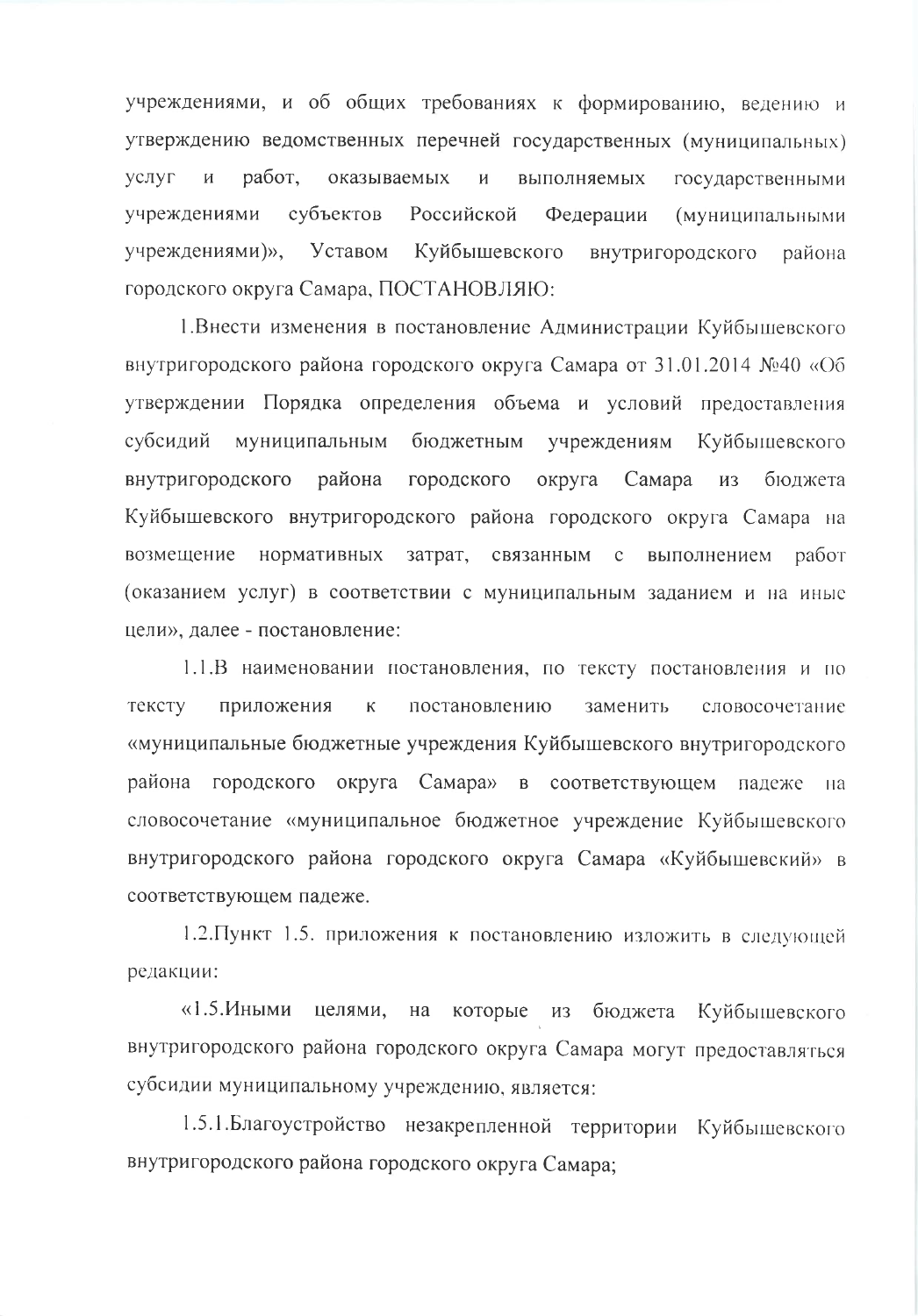учреждениями, и об общих требованиях к формированию, ведению и утверждению ведомственных перечней государственных (муниципальных) услуг работ, оказываемых  $\overline{M}$  $\boldsymbol{\mathit{H}}$ выполняемых государственными учреждениями субъектов Российской Федерации (муниципальными учреждениями)», Уставом Куйбышевского внутригородского района городского округа Самара, ПОСТАНОВЛЯЮ:

1. Внести изменения в постановление Администрации Куйбышевского внутригородского района городского округа Самара от 31.01.2014 №40 «Об утверждении Порядка определения объема и условий предоставления субсидий муниципальным бюджетным учреждениям Куйбышевского внутригородского района городского округа Самара **ИЗ** бюджета Куйбышевского внутригородского района городского округа Самара на возмещение нормативных затрат, связанным с выполнением работ (оказанием услуг) в соответствии с муниципальным заданием и на иные цели», далее - постановление:

1.1.В наименовании постановления, по тексту постановления и по тексту приложения  $\mathbf K$ постановлению заменить словосочетание «муниципальные бюджетные учреждения Куйбышевского внутригородского района городского округа Самара» в соответствующем падеже  $Ha$ словосочетание «муниципальное бюджетное учреждение Куйбышевского внутригородского района городского округа Самара «Куйбышевский» в соответствующем падеже.

1.2. Пункт 1.5. приложения к постановлению изложить в следующей редакции:

«1.5.Иными целями, на которые из бюджета Куйбышевского внутригородского района городского округа Самара могут предоставляться субсидии муниципальному учреждению, является:

1.5.1. Благоустройство незакрепленной территории Куйбышевского внутригородского района городского округа Самара;